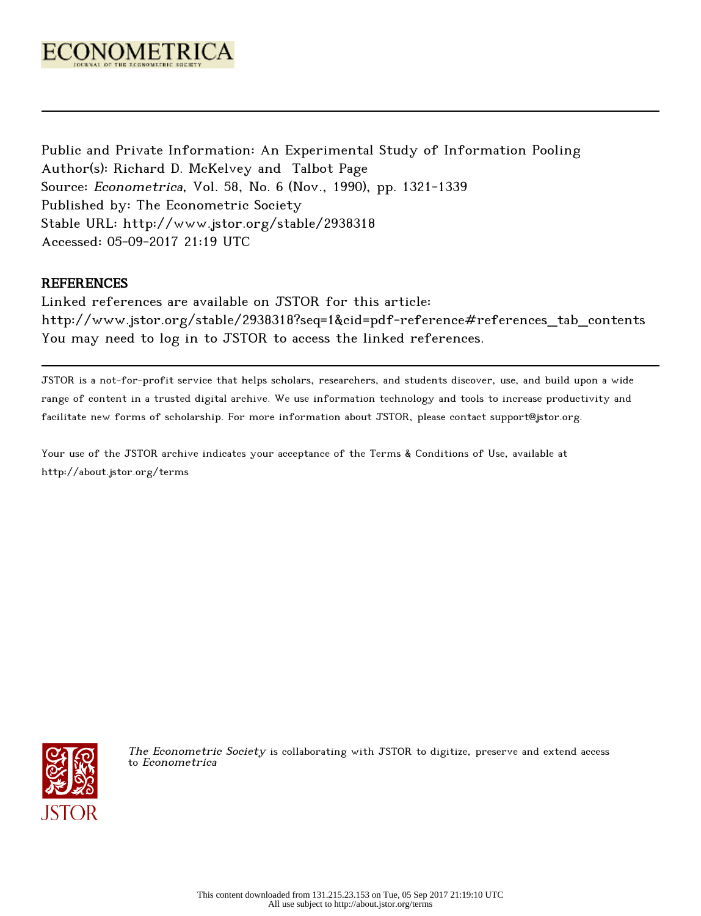

Public and Private Information: An Experimental Study of Information Pooling Author(s): Richard D. McKelvey and Talbot Page Source: Econometrica, Vol. 58, No. 6 (Nov., 1990), pp. 1321-1339 Published by: The Econometric Society Stable URL: http://www.jstor.org/stable/2938318 Accessed: 05-09-2017 21:19 UTC

# REFERENCES

Linked references are available on JSTOR for this article: http://www.jstor.org/stable/2938318?seq=1&cid=pdf-reference#references\_tab\_contents You may need to log in to JSTOR to access the linked references.

JSTOR is a not-for-profit service that helps scholars, researchers, and students discover, use, and build upon a wide range of content in a trusted digital archive. We use information technology and tools to increase productivity and facilitate new forms of scholarship. For more information about JSTOR, please contact support@jstor.org.

Your use of the JSTOR archive indicates your acceptance of the Terms & Conditions of Use, available at http://about.jstor.org/terms



The Econometric Society is collaborating with JSTOR to digitize, preserve and extend access to Econometrica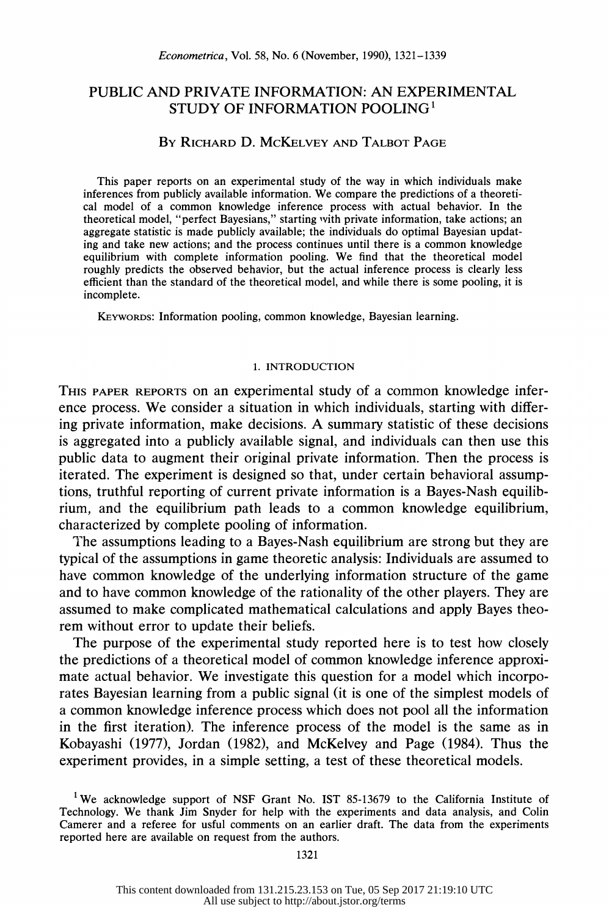# PUBLIC AND PRIVATE INFORMATION: AN EXPERIMENTAL STUDY OF INFORMATION POOLING<sup>1</sup>

# BY RICHARD D. MCKELVEY AND TALBOT PAGE

 This paper reports on an experimental study of the way in which individuals make inferences from publicly available information. We compare the predictions of a theoreti cal model of a common knowledge inference process with actual behavior. In the theoretical model, "perfect Bayesians," starting with private information, take actions; an aggregate statistic is made publicly available; the individuals do optimal Bayesian updat ing and take new actions; and the process continues until there is a common knowledge equilibrium with complete information pooling. We find that the theoretical model roughly predicts the observed behavior, but the actual inference process is clearly less efficient than the standard of the theoretical model, and while there is some pooling, it is incomplete.

KEYWORDS: Information pooling, common knowledge, Bayesian learning.

## 1. INTRODUCTION

 THIS PAPER REPORTS on an experimental study of a common knowledge infer ence process. We consider a situation in which individuals, starting with differ ing private information, make decisions. A summary statistic of these decisions is aggregated into a publicly available signal, and individuals can then use this public data to augment their original private information. Then the process is iterated. The experiment is designed so that, under certain behavioral assump tions, truthful reporting of current private information is a Bayes-Nash equilib rium, and the equilibrium path leads to a common knowledge equilibrium, characterized by complete pooling of information.

 The assumptions leading to a Bayes-Nash equilibrium are strong but they are typical of the assumptions in game theoretic analysis: Individuals are assumed to have common knowledge of the underlying information structure of the game and to have common knowledge of the rationality of the other players. They are assumed to make complicated mathematical calculations and apply Bayes theo rem without error to update their beliefs.

 The purpose of the experimental study reported here is to test how closely the predictions of a theoretical model of common knowledge inference approxi mate actual behavior. We investigate this question for a model which incorpo rates Bayesian learning from a public signal (it is one of the simplest models of a common knowledge inference process which does not pool all the information in the first iteration). The inference process of the model is the same as in Kobayashi (1977), Jordan (1982), and McKelvey and Page (1984). Thus the experiment provides, in a simple setting, a test of these theoretical models.

<sup>&</sup>lt;sup>1</sup> We acknowledge support of NSF Grant No. IST 85-13679 to the California Institute of Technology. We thank Jim Snyder for help with the experiments and data analysis, and Colin Camerer and a referee for usful comments on an earlier draft. The data from the experiments reported here are available on request from the authors.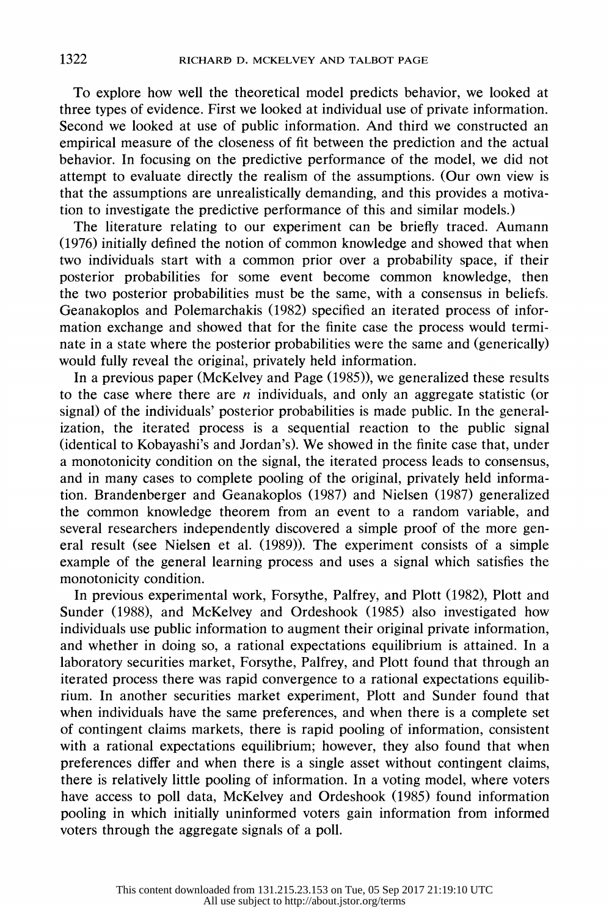To explore how well the theoretical model predicts behavior, we looked at three types of evidence. First we looked at individual use of private information. Second we looked at use of public information. And third we constructed an empirical measure of the closeness of fit between the prediction and the actual behavior. In focusing on the predictive performance of the model, we did not attempt to evaluate directly the realism of the assumptions. (Our own view is that the assumptions are unrealistically demanding, and this provides a motiva tion to investigate the predictive performance of this and similar models.)

 The literature relating to our experiment can be briefly traced. Aumann (1976) initially defined the notion of common knowledge and showed that when two individuals start with a common prior over a probability space, if their posterior probabilities for some event become common knowledge, then the two posterior probabilities must be the same, with a consensus in beliefs. Geanakoplos and Polemarchakis (1982) specified an iterated process of infor mation exchange and showed that for the finite case the process would termi nate in a state where the posterior probabilities were the same and (generically) would fully reveal the original, privately held information.

 In a previous paper (McKelvey and Page (1985)), we generalized these results to the case where there are *n* individuals, and only an aggregate statistic (or signal) of the individuals' posterior probabilities is made public. In the general ization, the iterated process is a sequential reaction to the public signal (identical to Kobayashi's and Jordan's). We showed in the finite case that, under a monotonicity condition on the signal, the iterated process leads to consensus, and in many cases to complete pooling of the original, privately held informa tion. Brandenberger and Geanakoplos (1987) and Nielsen (1987) generalized the common knowledge theorem from an event to a random variable, and several researchers independently discovered a simple proof of the more gen eral result (see Nielsen et al. (1989)). The experiment consists of a simple example of the general learning process and uses a signal which satisfies the monotonicity condition.

 In previous experimental work, Forsythe, Palfrey, and Plott (1982), Plott and Sunder (1988), and McKelvey and Ordeshook (1985) also investigated how individuals use public information to augment their original private information, and whether in doing so, a rational expectations equilibrium is attained. In a laboratory securities market, Forsythe, Palfrey, and Plott found that through an iterated process there was rapid convergence to a rational expectations equilib rium. In another securities market experiment, Plott and Sunder found that when individuals have the same preferences, and when there is a complete set of contingent claims markets, there is rapid pooling of information, consistent with a rational expectations equilibrium; however, they also found that when preferences differ and when there is a single asset without contingent claims, there is relatively little pooling of information. In a voting model, where voters have access to poll data, McKelvey and Ordeshook (1985) found information pooling in which initially uninformed voters gain information from informed voters through the aggregate signals of a poll.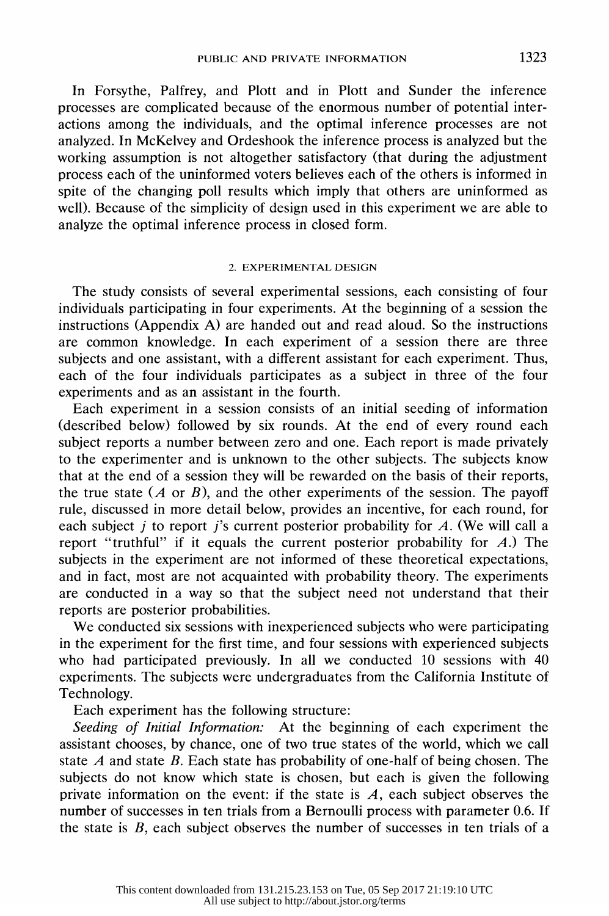In Forsythe, Palfrey, and Plott and in Plott and Sunder the inference processes are complicated because of the enormous number of potential inter actions among the individuals, and the optimal inference processes are not analyzed. In McKelvey and Ordeshook the inference process is analyzed but the working assumption is not altogether satisfactory (that during the adjustment process each of the uninformed voters believes each of the others is informed in spite of the changing poll results which imply that others are uninformed as well). Because of the simplicity of design used in this experiment we are able to analyze the optimal inference process in closed form.

# 2. EXPERIMENTAL DESIGN

 The study consists of several experimental sessions, each consisting of four individuals participating in four experiments. At the beginning of a session the instructions (Appendix A) are handed out and read aloud. So the instructions are common knowledge. In each experiment of a session there are three subjects and one assistant, with a different assistant for each experiment. Thus, each of the four individuals participates as a subject in three of the four experiments and as an assistant in the fourth.

 Each experiment in a session consists of an initial seeding of information (described below) followed by six rounds. At the end of every round each subject reports a number between zero and one. Each report is made privately to the experimenter and is unknown to the other subjects. The subjects know that at the end of a session they will be rewarded on the basis of their reports, the true state  $(A \text{ or } B)$ , and the other experiments of the session. The payoff rule, discussed in more detail below, provides an incentive, for each round, for each subject j to report j's current posterior probability for  $A$ . (We will call a report "truthful" if it equals the current posterior probability for  $A$ .) The subjects in the experiment are not informed of these theoretical expectations, and in fact, most are not acquainted with probability theory. The experiments are conducted in a way so that the subject need not understand that their reports are posterior probabilities.

 We conducted six sessions with inexperienced subjects who were participating in the experiment for the first time, and four sessions with experienced subjects who had participated previously. In all we conducted 10 sessions with 40 experiments. The subjects were undergraduates from the California Institute of Technology.

Each experiment has the following structure:

 Seeding of Initial Information: At the beginning of each experiment the assistant chooses, by chance, one of two true states of the world, which we call state A and state B. Each state has probability of one-half of being chosen. The subjects do not know which state is chosen, but each is given the following private information on the event: if the state is  $A$ , each subject observes the number of successes in ten trials from a Bernoulli process with parameter 0.6. If the state is  $B$ , each subject observes the number of successes in ten trials of a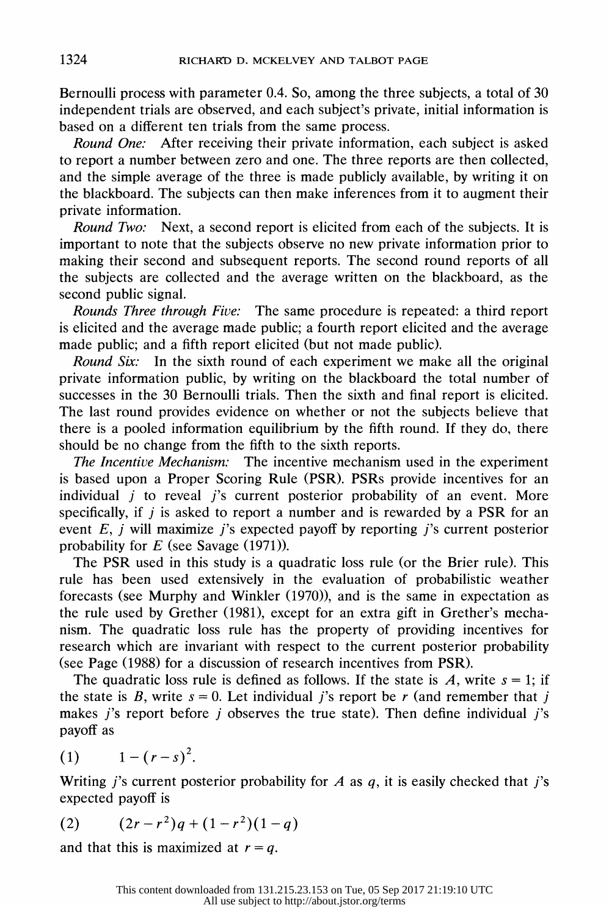Bernoulli process with parameter 0.4. So, among the three subjects, a total of 30 independent trials are observed, and each subject's private, initial information is based on a different ten trials from the same process.

Round One: After receiving their private information, each subject is asked to report a number between zero and one. The three reports are then collected, and the simple average of the three is made publicly available, by writing it on the blackboard. The subjects can then make inferences from it to augment their private information.

Round Two: Next, a second report is elicited from each of the subjects. It is important to note that the subjects observe no new private information prior to making their second and subsequent reports. The second round reports of all the subjects are collected and the average written on the blackboard, as the second public signal.

 Rounds Three through Five: The same procedure is repeated: a third report is elicited and the average made public; a fourth report elicited and the average made public; and a fifth report elicited (but not made public).

Round Six: In the sixth round of each experiment we make all the original private information public, by writing on the blackboard the total number of successes in the 30 Bernoulli trials. Then the sixth and final report is elicited. The last round provides evidence on whether or not the subjects believe that there is a pooled information equilibrium by the fifth round. If they do, there should be no change from the fifth to the sixth reports.

 The Incentive Mechanism: The incentive mechanism used in the experiment is based upon a Proper Scoring Rule (PSR). PSRs provide incentives for an individual  $j$  to reveal  $j$ 's current posterior probability of an event. More specifically, if  $j$  is asked to report a number and is rewarded by a PSR for an event  $E$ , j will maximize j's expected payoff by reporting j's current posterior probability for  $E$  (see Savage (1971)).

 The PSR used in this study is a quadratic loss rule (or the Brier rule). This rule has been used extensively in the evaluation of probabilistic weather forecasts (see Murphy and Winkler (1970)), and is the same in expectation as the rule used by Grether (1981), except for an extra gift in Grether's mecha nism. The quadratic loss rule has the property of providing incentives for research which are invariant with respect to the current posterior probability (see Page (1988) for a discussion of research incentives from PSR).

The quadratic loss rule is defined as follows. If the state is A, write  $s = 1$ ; if the state is B, write  $s = 0$ . Let individual j's report be r (and remember that j makes j's report before j observes the true state). Then define individual j's payoff as

$$
(1) \qquad 1-(r-s)^2.
$$

Writing j's current posterior probability for A as  $q$ , it is easily checked that j's expected payoff is

$$
(2) \qquad (2r - r^2)q + (1 - r^2)(1 - q)
$$

and that this is maximized at  $r = q$ .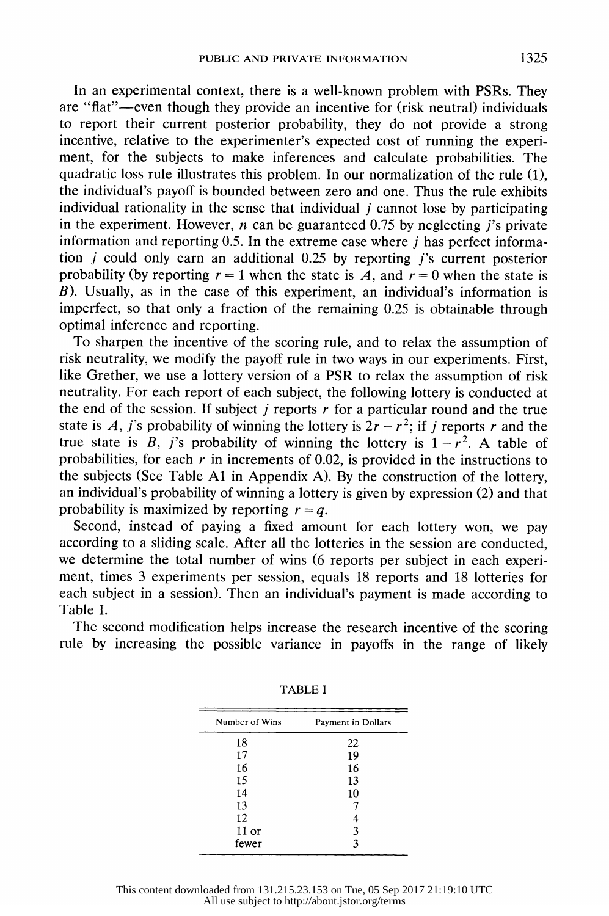In an experimental context, there is a well-known problem with PSRs. They are "flat"-even though they provide an incentive for (risk neutral) individuals to report their current posterior probability, they do not provide a strong incentive, relative to the experimenter's expected cost of running the experi ment, for the subjects to make inferences and calculate probabilities. The quadratic loss rule illustrates this problem. In our normalization of the rule (1), the individual's payoff is bounded between zero and one. Thus the rule exhibits individual rationality in the sense that individual  $j$  cannot lose by participating in the experiment. However, *n* can be guaranteed 0.75 by neglecting *j*'s private information and reporting  $0.5$ . In the extreme case where  $j$  has perfect informa tion j could only earn an additional 0.25 by reporting i's current posterior probability (by reporting  $r = 1$  when the state is A, and  $r = 0$  when the state is B). Usually, as in the case of this experiment, an individual's information is imperfect, so that only a fraction of the remaining 0.25 is obtainable through optimal inference and reporting.

 To sharpen the incentive of the scoring rule, and to relax the assumption of risk neutrality, we modify the payoff rule in two ways in our experiments. First, like Grether, we use a lottery version of a PSR to relax the assumption of risk neutrality. For each report of each subject, the following lottery is conducted at the end of the session. If subject  $\dot{\jmath}$  reports  $\dot{\jmath}$  for a particular round and the true state is A, j's probability of winning the lottery is  $2r - r^2$ ; if j reports r and the true state is B, j's probability of winning the lottery is  $1 - r^2$ . A table of probabilities, for each r in increments of 0.02, is provided in the instructions to the subjects (See Table Al in Appendix A). By the construction of the lottery, an individual's probability of winning a lottery is given by expression (2) and that probability is maximized by reporting  $r = q$ .

 Second, instead of paying a fixed amount for each lottery won, we pay according to a sliding scale. After all the lotteries in the session are conducted, we determine the total number of wins (6 reports per subject in each experi ment, times 3 experiments per session, equals 18 reports and 18 lotteries for each subject in a session). Then an individual's payment is made according to Table I.

 The second modification helps increase the research incentive of the scoring rule by increasing the possible variance in payoffs in the range of likely

| Number of Wins | Payment in Dollars |  |  |  |
|----------------|--------------------|--|--|--|
| 18             | 22                 |  |  |  |
| 17             | 19                 |  |  |  |
| 16             | 16                 |  |  |  |
| 15             | 13                 |  |  |  |
| 14             | 10                 |  |  |  |
| 13             |                    |  |  |  |
| 12             |                    |  |  |  |
| $11$ or        | 3                  |  |  |  |
| fewer          | 3                  |  |  |  |

TABLE I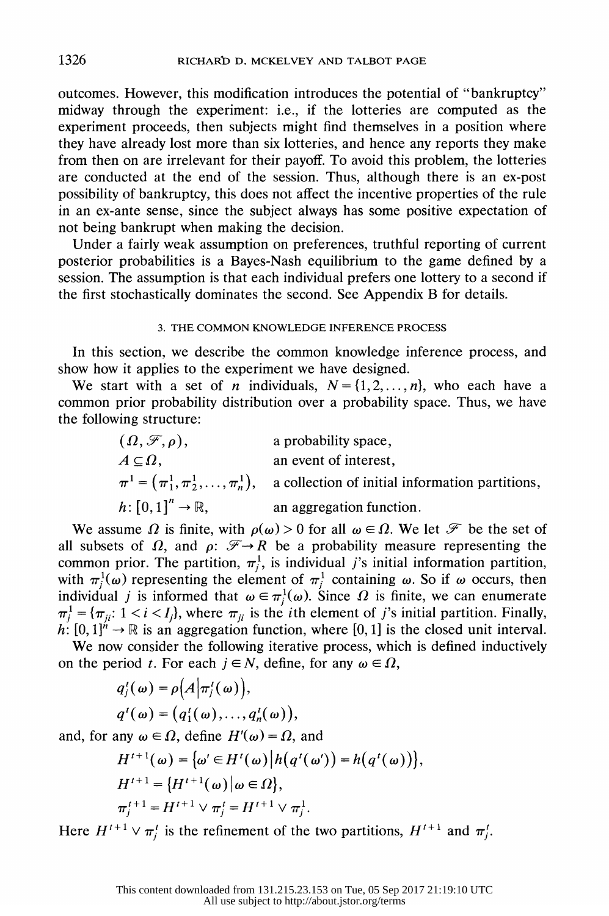outcomes. However, this modification introduces the potential of "bankruptcy" midway through the experiment: i.e., if the lotteries are computed as the experiment proceeds, then subjects might find themselves in a position where they have already lost more than six lotteries, and hence any reports they make from then on are irrelevant for their payoff. To avoid this problem, the lotteries are conducted at the end of the session. Thus, although there is an ex-post possibility of bankruptcy, this does not affect the incentive properties of the rule in an ex-ante sense, since the subject always has some positive expectation of not being bankrupt when making the decision.

 Under a fairly weak assumption on preferences, truthful reporting of current posterior probabilities is a Bayes-Nash equilibrium to the game defined by a session. The assumption is that each individual prefers one lottery to a second if the first stochastically dominates the second. See Appendix B for details.

### 3. THE COMMON KNOWLEDGE INFERENCE PROCESS

 In this section, we describe the common knowledge inference process, and show how it applies to the experiment we have designed.

We start with a set of *n* individuals,  $N = \{1, 2, ..., n\}$ , who each have a common prior probability distribution over a probability space. Thus, we have the following structure:

$$
(\Omega, \mathcal{F}, \rho)
$$
, a probability space,  
\n $A \subseteq \Omega$ , an event of interest,  
\n $\pi^1 = (\pi_1^1, \pi_2^1, ..., \pi_n^1)$ , a collection of initial information partitions,  
\n $h: [0,1]^n \to \mathbb{R}$ , an aggregation function.

We assume  $\Omega$  is finite, with  $\rho(\omega) > 0$  for all  $\omega \in \Omega$ . We let  $\mathcal F$  be the set of all subsets of  $\Omega$ , and  $\rho: \mathcal{F} \rightarrow R$  be a probability measure representing the common prior. The partition,  $\pi_j^1$ , is individual j's initial information partition, with  $\pi_j^1(\omega)$  representing the element of  $\pi_j^1$  containing  $\omega$ . So if  $\omega$  occurs, then individual j is informed that  $\omega \in \pi_j^1(\omega)$ . Since  $\Omega$  is finite, we can enumerate  $\pi_i^1 = {\pi_{ii}: 1 < i < I_i}$ , where  $\pi_{ii}$  is the *i*th element of *j*'s initial partition. Finally,  $h: [0, 1]^n \to \mathbb{R}$  is an aggregation function, where [0, 1] is the closed unit interval.

 We now consider the following iterative process, which is defined inductively on the period t. For each  $j \in N$ , define, for any  $\omega \in \Omega$ ,

$$
q'_{j}(\omega) = \rho\big(A\big|\pi'_{j}(\omega)\big),
$$
  
 
$$
q'(\omega) = \big(q'_{1}(\omega),...,q'_{n}(\omega)\big),
$$

and, for any  $\omega \in \Omega$ , define  $H'(\omega) = \Omega$ , and

$$
H^{t+1}(\omega) = {\omega' \in H^{t}(\omega) | h(q^{t}(\omega')) = h(q^{t}(\omega)) },
$$
  
\n
$$
H^{t+1} = {H^{t+1}(\omega) | \omega \in \Omega},
$$
  
\n
$$
\pi_j^{t+1} = H^{t+1} \vee \pi_j^t = H^{t+1} \vee \pi_j^1.
$$

Here  $H^{t+1} \vee \pi_i^t$  is the refinement of the two partitions,  $H^{t+1}$  and  $\pi_i^t$ .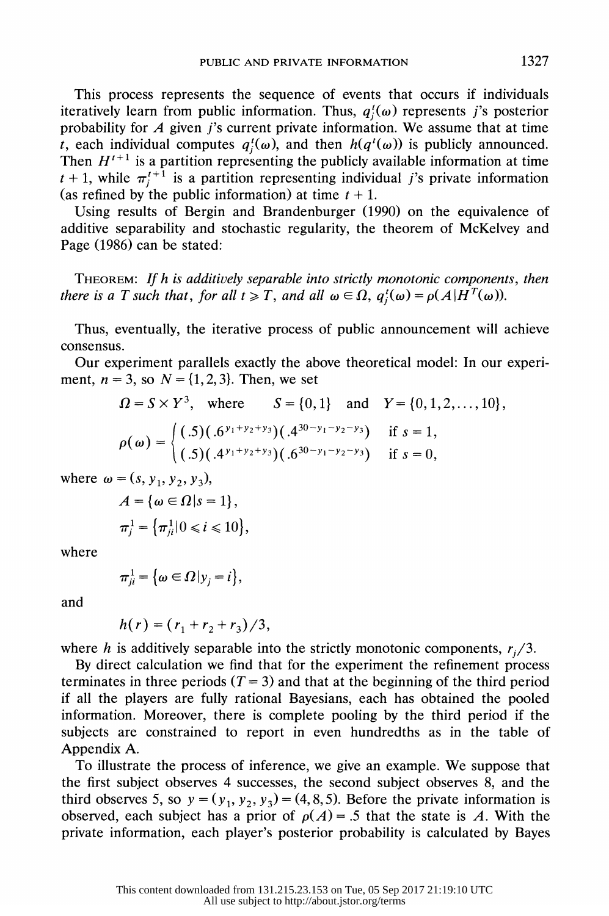This process represents the sequence of events that occurs if individuals iteratively learn from public information. Thus,  $q_i^t(\omega)$  represents j's posterior probability for  $A$  given j's current private information. We assume that at time t, each individual computes  $q_i^i(\omega)$ , and then  $h(q^i(\omega))$  is publicly announced. Then  $H^{t+1}$  is a partition representing the publicly available information at time  $t + 1$ , while  $\pi_j^+$  is a partition representing individual j's private information (as refined by the public information) at time  $t + 1$ .

 Using results of Bergin and Brandenburger (1990) on the equivalence of additive separability and stochastic regularity, the theorem of McKelvey and Page (1986) can be stated:

 THEOREM: If h is additively separable into strictly monotonic components, then there is a T such that, for all  $t \geq T$ , and all  $\omega \in \Omega$ ,  $q_i^t(\omega) = \rho(A|H^T(\omega))$ .

 Thus, eventually, the iterative process of public announcement will achieve consensus.

 Our experiment parallels exactly the above theoretical model: In our experi ment,  $n = 3$ , so  $N = \{1, 2, 3\}$ . Then, we set

$$
\Omega = S \times Y^3, \text{ where } S = \{0, 1\} \text{ and } Y = \{0, 1, 2, ..., 10\},
$$
  

$$
\rho(\omega) = \begin{cases} (.5)(.6^{y_1 + y_2 + y_3})(.4^{30 - y_1 - y_2 - y_3}) & \text{if } s = 1, \\ (.5)(.4^{y_1 + y_2 + y_3})(.6^{30 - y_1 - y_2 - y_3}) & \text{if } s = 0, \end{cases}
$$

where  $\omega = (s, y_1, y_2, y_3)$ ,

$$
A = \{ \omega \in \Omega | s = 1 \},\
$$
  

$$
\pi_j^1 = \{ \pi_{ji}^1 | 0 \le i \le 10 \},\
$$

where

$$
\pi_{ji}^1 = \big\{\omega \in \Omega \, | y_j = i \big\},\
$$

and

$$
h(r) = (r_1 + r_2 + r_3)/3,
$$

where h is additively separable into the strictly monotonic components,  $r_i/3$ .

 By direct calculation we find that for the experiment the refinement process terminates in three periods  $(T = 3)$  and that at the beginning of the third period if all the players are fully rational Bayesians, each has obtained the pooled information. Moreover, there is complete pooling by the third period if the subjects are constrained to report in even hundredths as in the table of Appendix A.

 To illustrate the process of inference, we give an example. We suppose that the first subject observes 4 successes, the second subject observes 8, and the third observes 5, so  $y = (y_1, y_2, y_3) = (4, 8, 5)$ . Before the private information is observed, each subject has a prior of  $\rho(A) = .5$  that the state is A. With the private information, each player's posterior probability is calculated by Bayes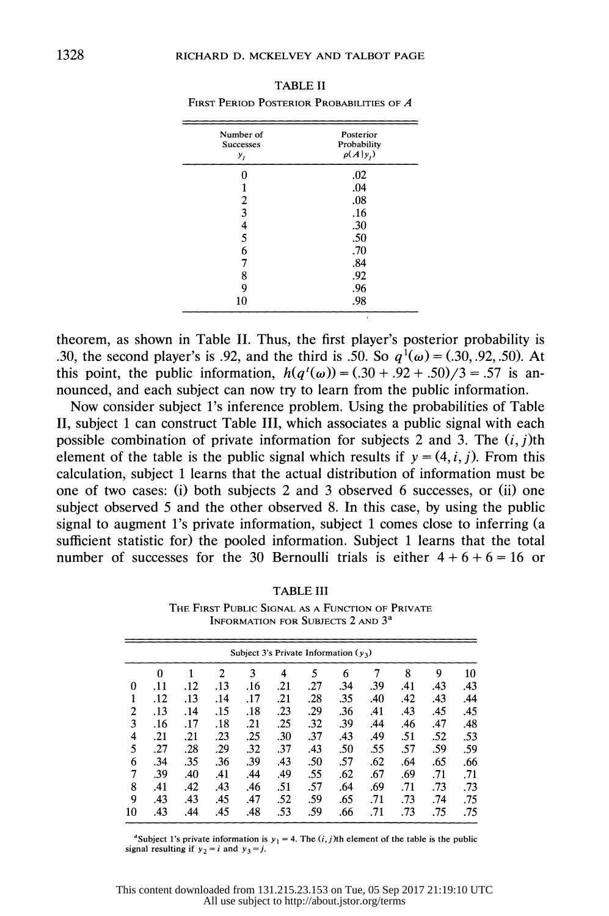| Number of                  | Posterior                                     |
|----------------------------|-----------------------------------------------|
| <b>Successes</b>           | Probability                                   |
| y <sub>j</sub>             | $\rho(A y_i)$                                 |
| 0<br>2<br>3<br>4<br>5<br>6 | .02<br>.04<br>.08<br>.16<br>.30<br>.50<br>.70 |
| 7                          | .84                                           |
| 8                          | .92                                           |
| 9                          | .96                                           |
| 10                         | .98                                           |

 TABLE II FIRST PERIOD POSTERIOR PROBABILITIES OF A

 theorem, as shown in Table II. Thus, the first player's posterior probability is .30, the second player's is .92, and the third is .50. So  $q^{1}(\omega) = (.30, .92, .50)$ . At this point, the public information,  $h(q^{t}(\omega)) = (.30 + .92 + .50)/3 = .57$  is announced, and each subject can now try to learn from the public information.

 Now consider subject l's inference problem. Using the probabilities of Table II, subject 1 can construct Table III, which associates a public signal with each possible combination of private information for subjects 2 and 3. The  $(i, j)$ th element of the table is the public signal which results if  $y = (4, i, j)$ . From this calculation, subject 1 learns that the actual distribution of information must be one of two cases: (i) both subjects 2 and 3 observed 6 successes, or (ii) one subject observed 5 and the other observed 8. In this case, by using the public signal to augment l's private information, subject 1 comes close to inferring (a sufficient statistic for) the pooled information. Subject 1 learns that the total number of successes for the 30 Bernoulli trials is either  $4 + 6 + 6 = 16$  or

| TABLE III                                        |  |  |  |  |  |  |  |
|--------------------------------------------------|--|--|--|--|--|--|--|
| THE FIRST PUBLIC SIGNAL AS A FUNCTION OF PRIVATE |  |  |  |  |  |  |  |

 INFORMATION FOR SUBJECTS 2 AND 3a Subject 3's Private Information ( $y_3$ )

| Subject 3's Private Information $(y_3)$ |          |     |     |     |     |     |     |     |     |     |     |
|-----------------------------------------|----------|-----|-----|-----|-----|-----|-----|-----|-----|-----|-----|
|                                         | $\theta$ |     | 2   | 3   | 4   | 5   | 6   |     | 8   | 9   | 10  |
| 0                                       | .11      | .12 | .13 | .16 | .21 | .27 | .34 | .39 | .41 | .43 | .43 |
| 1                                       | .12      | .13 | .14 | .17 | .21 | .28 | .35 | .40 | .42 | .43 | .44 |
| 2                                       | .13      | .14 | .15 | .18 | .23 | .29 | .36 | .41 | .43 | .45 | .45 |
| 3                                       | .16      | .17 | .18 | .21 | .25 | .32 | .39 | .44 | .46 | .47 | .48 |
| 4                                       | .21      | .21 | .23 | .25 | .30 | .37 | .43 | .49 | .51 | .52 | .53 |
| 5                                       | .27      | .28 | .29 | .32 | .37 | .43 | .50 | .55 | .57 | .59 | .59 |
| 6                                       | .34      | .35 | .36 | .39 | .43 | .50 | .57 | .62 | .64 | .65 | .66 |
| 7                                       | .39      | .40 | .41 | .44 | .49 | .55 | .62 | .67 | .69 | .71 | .71 |
| 8                                       | .41      | .42 | .43 | .46 | .51 | .57 | .64 | .69 | .71 | .73 | .73 |
| 9                                       | .43      | .43 | .45 | .47 | .52 | .59 | .65 | .71 | .73 | .74 | .75 |
| 10                                      | .43      | .44 | .45 | .48 | .53 | .59 | .66 | .71 | .73 | .75 | .75 |
|                                         |          |     |     |     |     |     |     |     |     |     |     |

<sup>4</sup>Subject 1's private information is  $y_1 = 4$ . The  $(i, j)$ th element of the table is the public signal resulting if  $y_2 = i$  and  $y_3 = j$ .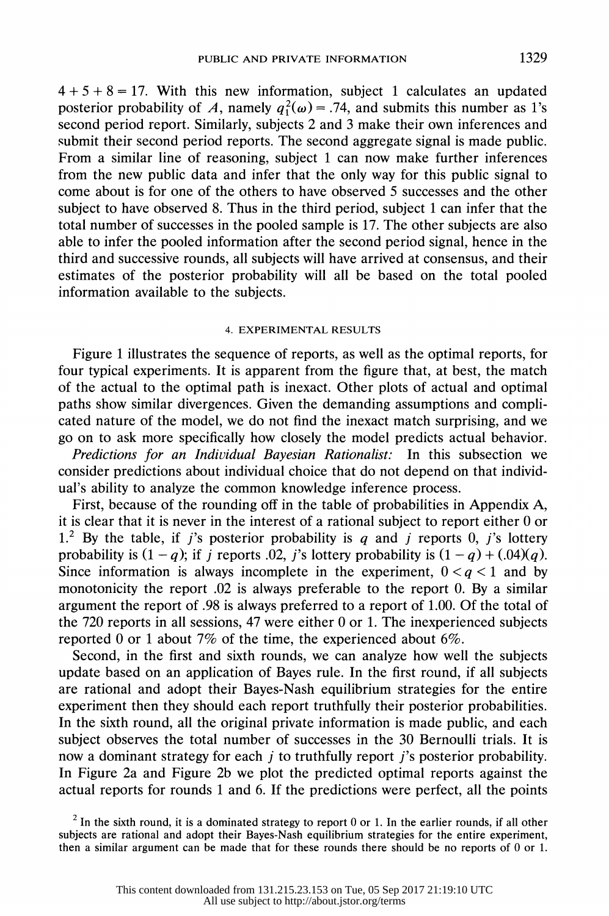$4 + 5 + 8 = 17$ . With this new information, subject 1 calculates an updated posterior probability of A, namely  $q_1^2(\omega) = .74$ , and submits this number as 1's second period report. Similarly, subjects 2 and 3 make their own inferences and submit their second period reports. The second aggregate signal is made public. From a similar line of reasoning, subject 1 can now make further inferences from the new public data and infer that the only way for this public signal to come about is for one of the others to have observed 5 successes and the other subject to have observed 8. Thus in the third period, subject 1 can infer that the total number of successes in the pooled sample is 17. The other subjects are also able to infer the pooled information after the second period signal, hence in the third and successive rounds, all subjects will have arrived at consensus, and their estimates of the posterior probability will all be based on the total pooled information available to the subjects.

#### 4. EXPERIMENTAL RESULTS

 Figure 1 illustrates the sequence of reports, as well as the optimal reports, for four typical experiments. It is apparent from the figure that, at best, the match of the actual to the optimal path is inexact. Other plots of actual and optimal paths show similar divergences. Given the demanding assumptions and compli cated nature of the model, we do not find the inexact match surprising, and we go on to ask more specifically how closely the model predicts actual behavior.

 Predictions for an Individual Bayesian Rationalist: In this subsection we consider predictions about individual choice that do not depend on that individ ual's ability to analyze the common knowledge inference process.

 First, because of the rounding off in the table of probabilities in Appendix A, it is clear that it is never in the interest of a rational subject to report either 0 or 1.<sup>2</sup> By the table, if j's posterior probability is q and j reports 0, j's lottery probability is  $(1 - q)$ ; if j reports .02, j's lottery probability is  $(1 - q) + (0.04)(q)$ . Since information is always incomplete in the experiment,  $0 < q < 1$  and by monotonicity the report .02 is always preferable to the report 0. By a similar argument the report of .98 is always preferred to a report of 1.00. Of the total of the 720 reports in all sessions, 47 were either 0 or 1. The inexperienced subjects reported 0 or 1 about 7% of the time, the experienced about 6%.

 Second, in the first and sixth rounds, we can analyze how well the subjects update based on an application of Bayes rule. In the first round, if all subjects are rational and adopt their Bayes-Nash equilibrium strategies for the entire experiment then they should each report truthfully their posterior probabilities. In the sixth round, all the original private information is made public, and each subject observes the total number of successes in the 30 Bernoulli trials. It is now a dominant strategy for each j to truthfully report j's posterior probability. In Figure 2a and Figure 2b we plot the predicted optimal reports against the actual reports for rounds 1 and 6. If the predictions were perfect, all the points

<sup>2</sup> In the sixth round, it is a dominated strategy to report 0 or 1. In the earlier rounds, if all other subjects are rational and adopt their Bayes-Nash equilibrium strategies for the entire experiment, then a similar argument can be made that for these rounds there should be no reports of 0 or 1.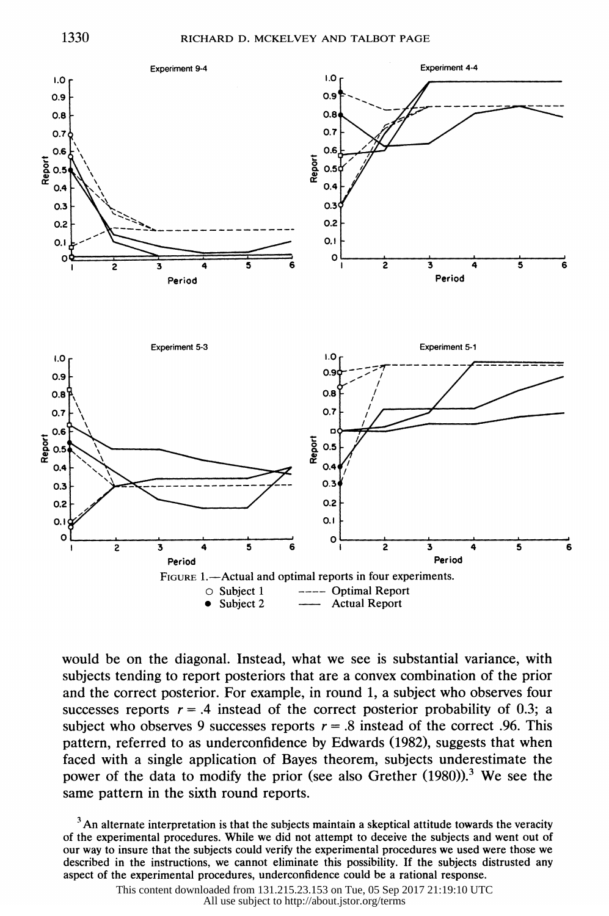

 would be on the diagonal. Instead, what we see is substantial variance, with subjects tending to report posteriors that are a convex combination of the prior and the correct posterior. For example, in round 1, a subject who observes four successes reports  $r = .4$  instead of the correct posterior probability of 0.3; a subject who observes 9 successes reports  $r = .8$  instead of the correct .96. This pattern, referred to as underconfidence by Edwards (1982), suggests that when faced with a single application of Bayes theorem, subjects underestimate the power of the data to modify the prior (see also Grether (1980)).<sup>3</sup> We see the same pattern in the sixth round reports.

 $3$  An alternate interpretation is that the subjects maintain a skeptical attitude towards the veracity of the experimental procedures. While we did not attempt to deceive the subjects and went out of our way to insure that the subjects could verify the experimental procedures we used were those we described in the instructions, we cannot eliminate this possibility. If the subjects distrusted any aspect of the experimental procedures, underconfidence could be a rational response.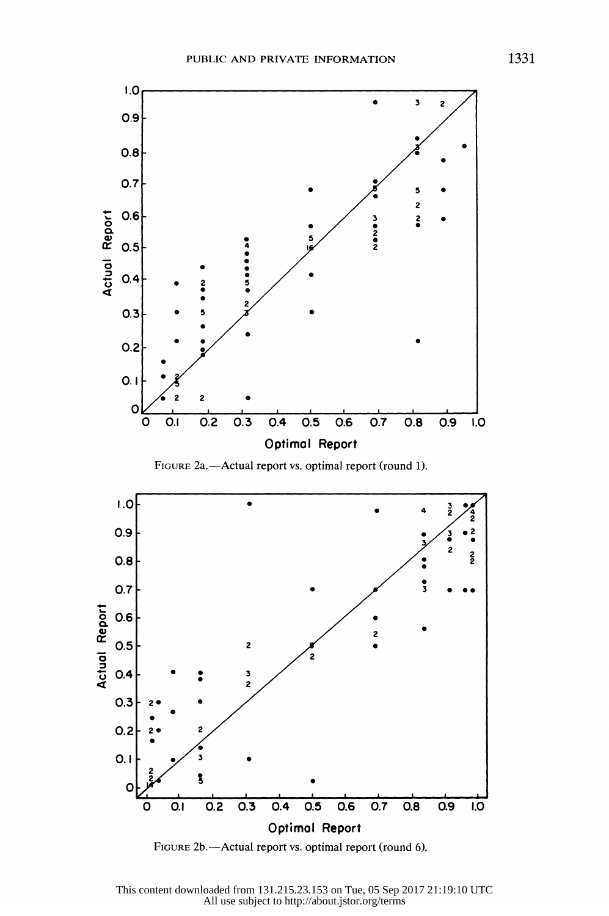

FIGURE 2b.-Actual report vs. optimal report (round 6).

This content downloaded from 131.215.23.153 on Tue, 05 Sep 2017 21:19:10 UTC All use subject to http://about.jstor.org/terms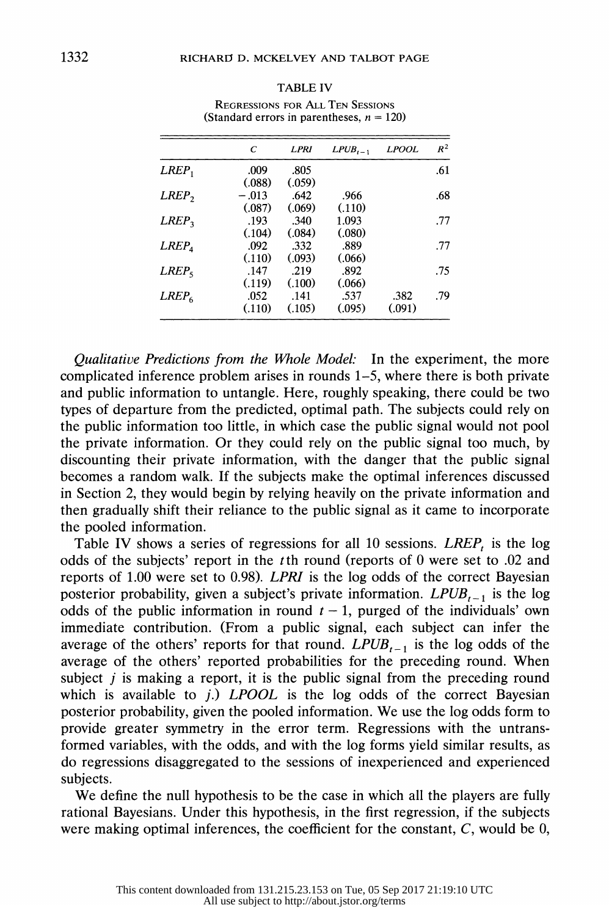|                   | C       | LPRI   | $LPUB_{t-1}$ | <b>LPOOL</b> | $R^2$ |
|-------------------|---------|--------|--------------|--------------|-------|
| $LREF_1$          | .009    | .805   |              |              | .61   |
|                   | (.088)  | (.059) |              |              |       |
| LREF              | $-.013$ | .642   | .966         |              | .68   |
|                   | (.087)  | (.069) | (.110)       |              |       |
| $LREF_{2}$        | .193    | .340   | 1.093        |              | .77   |
|                   | (.104)  | (.084) | (.080)       |              |       |
| LREF <sub>A</sub> | .092    | .332   | .889         |              | .77   |
|                   | (.110)  | (.093) | (.066)       |              |       |
| $LREF_{5}$        | .147    | .219   | .892         |              | .75   |
|                   | (.119)  | (.100) | (.066)       |              |       |
| $LREF_{6}$        | .052    | .141   | .537         | .382         | .79   |
|                   | (.110)  | (.105) | (.095)       | (.091)       |       |

# TABLE IV REGRESSIONS FOR ALL TEN SESSIONS

 Qualitative Predictions from the Vhole Model: In the experiment, the more complicated inference problem arises in rounds 1-5, where there is both private and public information to untangle. Here, roughly speaking, there could be two types of departure from the predicted, optimal path. The subjects could rely on the public information too little, in which case the public signal would not pool the private information. Or they could rely on the public signal too much, by discounting their private information, with the danger that the public signal becomes a random walk. If the subjects make the optimal inferences discussed in Section 2, they would begin by relying heavily on the private information and then gradually shift their reliance to the public signal as it came to incorporate the pooled information.

Table IV shows a series of regressions for all 10 sessions.  $LREF<sub>t</sub>$  is the log odds of the subjects' report in the tth round (reports of 0 were set to .02 and reports of 1.00 were set to 0.98). LPRI is the log odds of the correct Bayesian posterior probability, given a subject's private information.  $LPUB_{t-1}$  is the log odds of the public information in round  $t - 1$ , purged of the individuals' own immediate contribution. (From a public signal, each subject can infer the average of the others' reports for that round.  $LPUB_{t-1}$  is the log odds of the average of the others' reported probabilities for the preceding round. When subject  $j$  is making a report, it is the public signal from the preceding round which is available to j.)  $LPOOL$  is the log odds of the correct Bayesian posterior probability, given the pooled information. We use the log odds form to provide greater symmetry in the error term. Regressions with the untrans formed variables, with the odds, and with the log forms yield similar results, as do regressions disaggregated to the sessions of inexperienced and experienced subjects.

 We define the null hypothesis to be the case in which all the players are fully rational Bayesians. Under this hypothesis, in the first regression, if the subjects were making optimal inferences, the coefficient for the constant, C, would be 0,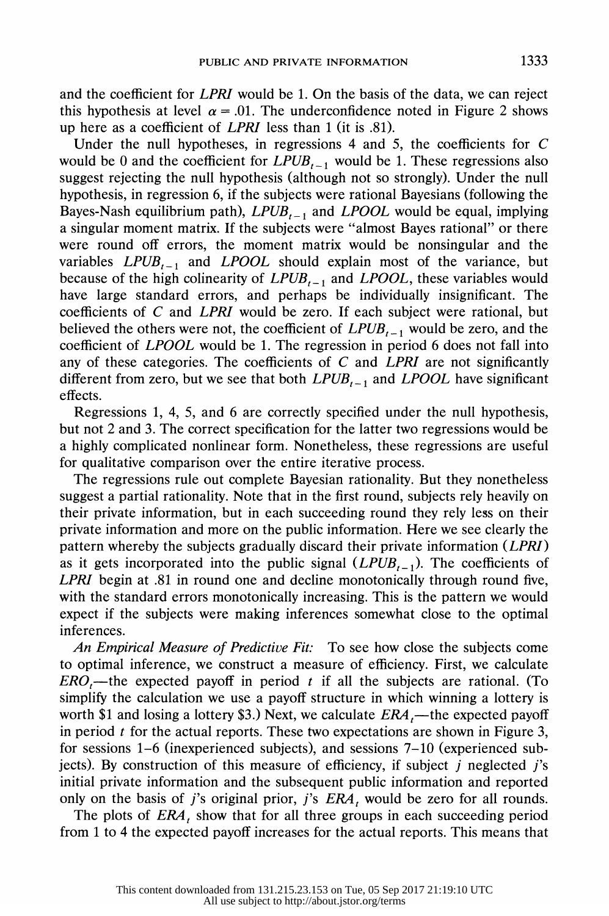and the coefficient for LPRI would be 1. On the basis of the data, we can reject this hypothesis at level  $\alpha = .01$ . The underconfidence noted in Figure 2 shows up here as a coefficient of LPRI less than 1 (it is .81).

Under the null hypotheses, in regressions  $4$  and  $5$ , the coefficients for  $C$ would be 0 and the coefficient for  $LPUB_{t-1}$  would be 1. These regressions also suggest rejecting the null hypothesis (although not so strongly). Under the null hypothesis, in regression 6, if the subjects were rational Bayesians (following the Bayes-Nash equilibrium path),  $LPUB_{t-1}$  and  $LPOOL$  would be equal, implying a singular moment matrix. If the subjects were "almost Bayes rational" or there were round off errors, the moment matrix would be nonsingular and the variables  $LPUB_{t-1}$  and  $LPOOL$  should explain most of the variance, but because of the high colinearity of  $LPUB_{t-1}$  and  $LPOOL$ , these variables would have large standard errors, and perhaps be individually insignificant. The coefficients of C and LPRI would be zero. If each subject were rational, but believed the others were not, the coefficient of  $LPUB_{t-1}$  would be zero, and the coefficient of LPOOL would be 1. The regression in period 6 does not fall into any of these categories. The coefficients of  $C$  and LPRI are not significantly different from zero, but we see that both  $LPUB_{t-1}$  and  $LPOOL$  have significant effects.

 Regressions 1, 4, 5, and 6 are correctly specified under the null hypothesis, but not 2 and 3. The correct specification for the latter two regressions would be a highly complicated nonlinear form. Nonetheless, these regressions are useful for qualitative comparison over the entire iterative process.

 The regressions rule out complete Bayesian rationality. But they nonetheless suggest a partial rationality. Note that in the first round, subjects rely heavily on their private information, but in each succeeding round they rely less on their private information and more on the public information. Here we see clearly the pattern whereby the subjects gradually discard their private information (LPRI) as it gets incorporated into the public signal  $(LPUB_{t-1})$ . The coefficients of LPRI begin at .81 in round one and decline monotonically through round five, with the standard errors monotonically increasing. This is the pattern we would expect if the subjects were making inferences somewhat close to the optimal inferences.

An Empirical Measure of Predictive Fit: To see how close the subjects come to optimal inference, we construct a measure of efficiency. First, we calculate  $ERO$ ,—the expected payoff in period t if all the subjects are rational. (To simplify the calculation we use a payoff structure in which winning a lottery is worth \$1 and losing a lottery \$3.) Next, we calculate  $ERA$ ,—the expected payoff in period  $t$  for the actual reports. These two expectations are shown in Figure 3, for sessions 1-6 (inexperienced subjects), and sessions 7-10 (experienced sub jects). By construction of this measure of efficiency, if subject  $j$  neglected  $j$ 's initial private information and the subsequent public information and reported only on the basis of j's original prior, j's  $ERA_t$  would be zero for all rounds.

The plots of  $ERA$ , show that for all three groups in each succeeding period from 1 to 4 the expected payoff increases for the actual reports. This means that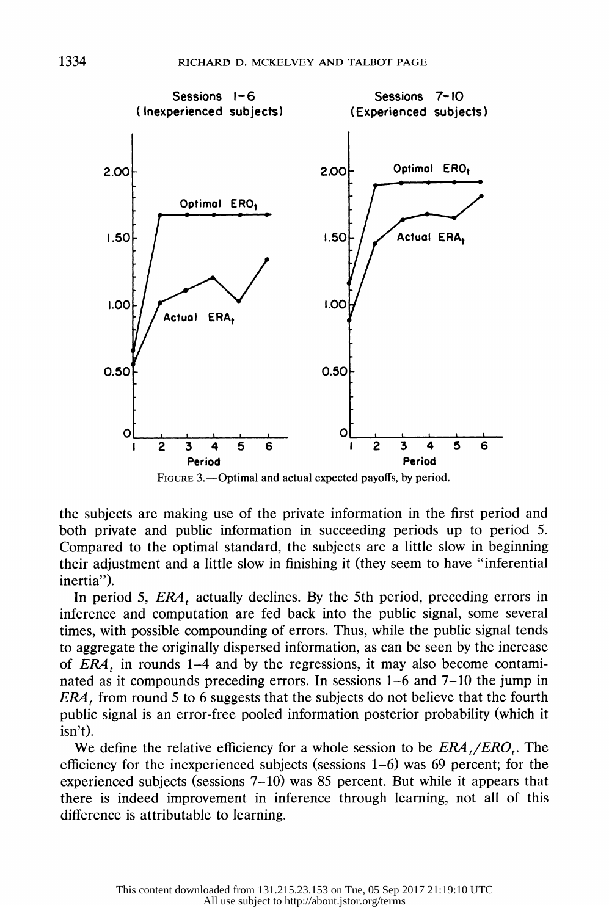

FIGURE 3.—Optimal and actual expected payoffs, by period.

 the subjects are making use of the private information in the first period and both private and public information in succeeding periods up to period 5. Compared to the optimal standard, the subjects are a little slow in beginning their adjustment and a little slow in finishing it (they seem to have "inferential inertia").

In period 5,  $ERA$ , actually declines. By the 5th period, preceding errors in inference and computation are fed back into the public signal, some several times, with possible compounding of errors. Thus, while the public signal tends to aggregate the originally dispersed information, as can be seen by the increase of  $ERA<sub>t</sub>$  in rounds 1–4 and by the regressions, it may also become contami nated as it compounds preceding errors. In sessions 1-6 and 7-10 the jump in  $ERA$ , from round 5 to 6 suggests that the subjects do not believe that the fourth public signal is an error-free pooled information posterior probability (which it isn't).

We define the relative efficiency for a whole session to be  $ERA_{t}/ERO_{t}$ . The efficiency for the inexperienced subjects (sessions 1-6) was 69 percent; for the experienced subjects (sessions 7-10) was 85 percent. But while it appears that there is indeed improvement in inference through learning, not all of this difference is attributable to learning.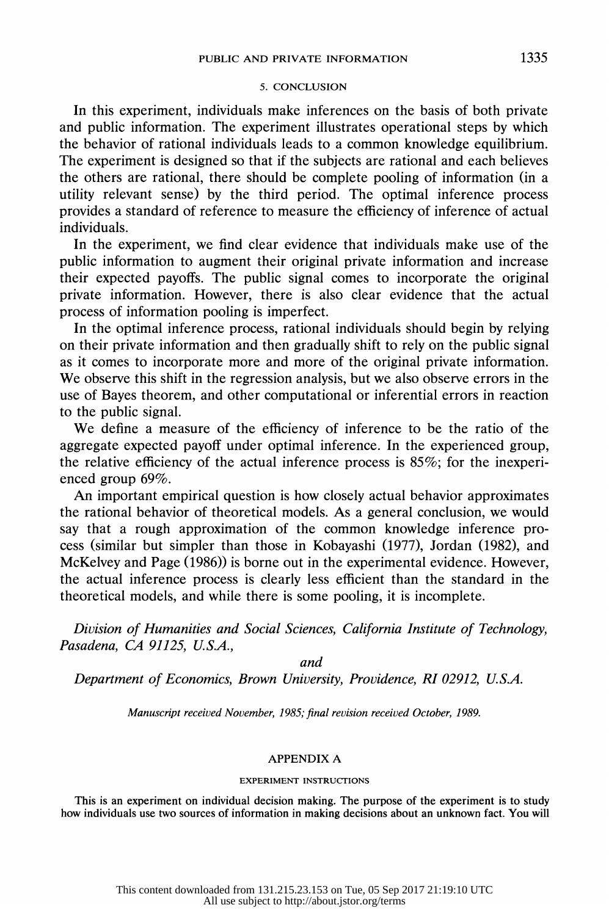### 5. CONCLUSION

 In this experiment, individuals make inferences on the basis of both private and public information. The experiment illustrates operational steps by which the behavior of rational individuals leads to a common knowledge equilibrium. The experiment is designed so that if the subjects are rational and each believes the others are rational, there should be complete pooling of information (in a utility relevant sense) by the third period. The optimal inference process provides a standard of reference to measure the efficiency of inference of actual individuals.

 In the experiment, we find clear evidence that individuals make use of the public information to augment their original private information and increase their expected payoffs. The public signal comes to incorporate the original private information. However, there is also clear evidence that the actual process of information pooling is imperfect.

 In the optimal inference process, rational individuals should begin by relying on their private information and then gradually shift to rely on the public signal as it comes to incorporate more and more of the original private information. We observe this shift in the regression analysis, but we also observe errors in the use of Bayes theorem, and other computational or inferential errors in reaction to the public signal.

 We define a measure of the efficiency of inference to be the ratio of the aggregate expected payoff under optimal inference. In the experienced group, the relative efficiency of the actual inference process is 85%; for the inexperi enced group 69%.

 An important empirical question is how closely actual behavior approximates the rational behavior of theoretical models. As a general conclusion, we would say that a rough approximation of the common knowledge inference pro cess (similar but simpler than those in Kobayashi (1977), Jordan (1982), and McKelvey and Page (1986)) is borne out in the experimental evidence. However, the actual inference process is clearly less efficient than the standard in the theoretical models, and while there is some pooling, it is incomplete.

 Division of Humanities and Social Sciences, California Institute of Technology, Pasadena, CA 91125, U.S.A.,

and

Department of Economics, Brown University, Providence, RI 02912, U.S.A.

Manuscript received November, 1985; final revision received October, 1989.

# APPENDIX A

#### EXPERIMENT INSTRUCTIONS

 This is an experiment on individual decision making. The purpose of the experiment is to study how individuals use two sources of information in making decisions about an unknown fact. You will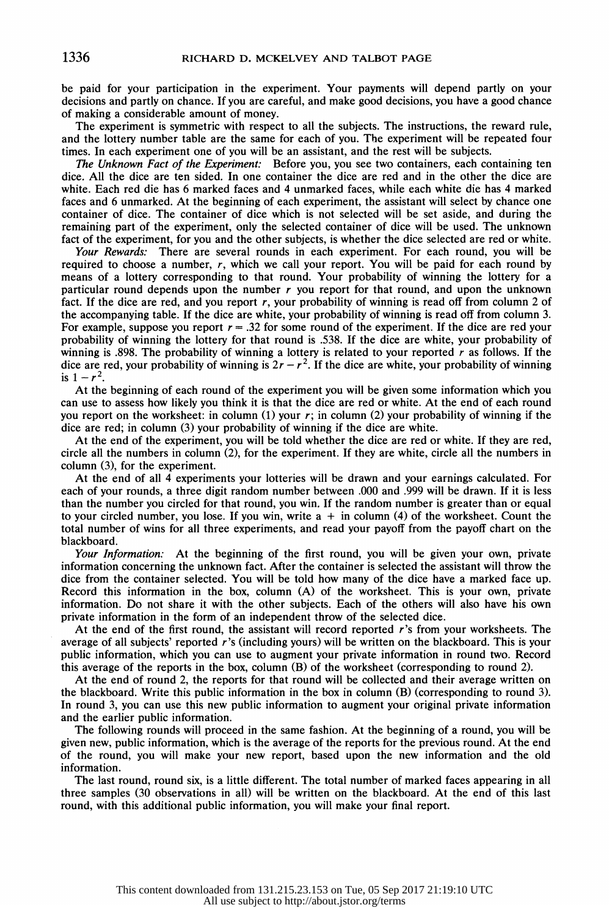be paid for your participation in the experiment. Your payments will depend partly on your decisions and partly on chance. If you are careful, and make good decisions, you have a good chance of making a considerable amount of money.

 The experiment is symmetric with respect to all the subjects. The instructions, the reward rule, and the lottery number table are the same for each of you. The experiment will be repeated four times. In each experiment one of you will be an assistant, and the rest will be subjects.

The Unknown Fact of the Experiment: Before you, you see two containers, each containing ten dice. All the dice are ten sided. In one container the dice are red and in the other the dice are white. Each red die has 6 marked faces and 4 unmarked faces, while each white die has 4 marked faces and 6 unmarked. At the beginning of each experiment, the assistant will select by chance one container of dice. The container of dice which is not selected will be set aside, and during the remaining part of the experiment, only the selected container of dice will be used. The unknown fact of the experiment, for you and the other subjects, is whether the dice selected are red or white.

Your Rewards: There are several rounds in each experiment. For each round, you will be required to choose a number,  $r$ , which we call your report. You will be paid for each round by means of a lottery corresponding to that round. Your probability of winning the lottery for a particular round depends upon the number  $r$  you report for that round, and upon the unknown fact. If the dice are red, and you report r, your probability of winning is read off from column 2 of the accompanying table. If the dice are white, your probability of winning is read off from column 3. For example, suppose you report  $r = .32$  for some round of the experiment. If the dice are red your probability of winning the lottery for that round is .538. If the dice are white, your probability of winning is .898. The probability of winning a lottery is related to your reported  $r$  as follows. If the dice are red, your probability of winning is  $2r - r^2$ . If the dice are white, your probability of winning is  $1 - r^2$ .

 At the beginning of each round of the experiment you will be given some information which you can use to assess how likely you think it is that the dice are red or white. At the end of each round you report on the worksheet: in column  $(1)$  your  $r$ ; in column  $(2)$  your probability of winning if the dice are red; in column (3) your probability of winning if the dice are white.

 At the end of the experiment, you will be told whether the dice are red or white. If they are red, circle all the numbers in column (2), for the experiment. If they are white, circle all the numbers in column (3), for the experiment.

 At the end of all 4 experiments your lotteries will be drawn and your earnings calculated. For each of your rounds, a three digit random number between .000 and .999 will be drawn. If it is less than the number you circled for that round, you win. If the random number is greater than or equal to your circled number, you lose. If you win, write  $a + in$  column (4) of the worksheet. Count the total number of wins for all three experiments, and read your payoff from the payoff chart on the blackboard.

Your Information: At the beginning of the first round, you will be given your own, private information concerning the unknown fact. After the container is selected the assistant will throw the dice from the container selected. You will be told how many of the dice have a marked face up. Record this information in the box, column (A) of the worksheet. This is your own, private information. Do not share it with the other subjects. Each of the others will also have his own private information in the form of an independent throw of the selected dice.

At the end of the first round, the assistant will record reported  $r$ 's from your worksheets. The average of all subjects' reported r's (including yours) will be written on the blackboard. This is your public information, which you can use to augment your private information in round two. Record this average of the reports in the box, column (B) of the worksheet (corresponding to round 2).

 At the end of round 2, the reports for that round will be collected and their average written on the blackboard. Write this public information in the box in column (B) (corresponding to round 3). In round 3, you can use this new public information to augment your original private information and the earlier public information.

 The following rounds will proceed in the same fashion. At the beginning of a round, you will be given new, public information, which is the average of the reports for the previous round. At the end of the round, you will make your new report, based upon the new information and the old information.

 The last round, round six, is a little different. The total number of marked faces appearing in all three samples (30 observations in all) will be written on the blackboard. At the end of this last round, with this additional public information, you will make your final report.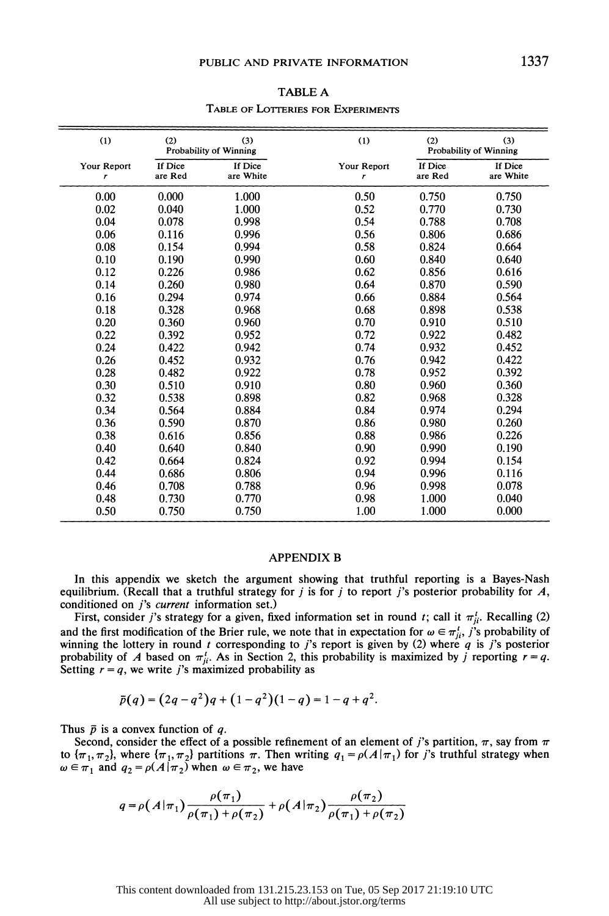| (1)              | (2)<br>(3)<br>Probability of Winning |                      | (1)              | (2)<br>(3)<br>Probability of Winning |                      |
|------------------|--------------------------------------|----------------------|------------------|--------------------------------------|----------------------|
| Your Report<br>r | If Dice<br>are Red                   | If Dice<br>are White | Your Report<br>r | If Dice<br>are Red                   | If Dice<br>are White |
| 0.00             | 0.000                                | 1.000                | 0.50             | 0.750                                | 0.750                |
| 0.02             | 0.040                                | 1.000                | 0.52             | 0.770                                | 0.730                |
| 0.04             | 0.078                                | 0.998                | 0.54             | 0.788                                | 0.708                |
| 0.06             | 0.116                                | 0.996                | 0.56             | 0.806                                | 0.686                |
| 0.08             | 0.154                                | 0.994                | 0.58             | 0.824                                | 0.664                |
| 0.10             | 0.190                                | 0.990                | 0.60             | 0.840                                | 0.640                |
| 0.12             | 0.226                                | 0.986                | 0.62             | 0.856                                | 0.616                |
| 0.14             | 0.260                                | 0.980                | 0.64             | 0.870                                | 0.590                |
| 0.16             | 0.294                                | 0.974                | 0.66             | 0.884                                | 0.564                |
| 0.18             | 0.328                                | 0.968                | 0.68             | 0.898                                | 0.538                |
| 0.20             | 0.360                                | 0.960                | 0.70             | 0.910                                | 0.510                |
| 0.22             | 0.392                                | 0.952                | 0.72             | 0.922                                | 0.482                |
| 0.24             | 0.422                                | 0.942                | 0.74             | 0.932                                | 0.452                |
| 0.26             | 0.452                                | 0.932                | 0.76             | 0.942                                | 0.422                |
| 0.28             | 0.482                                | 0.922                | 0.78             | 0.952                                | 0.392                |
| 0.30             | 0.510                                | 0.910                | 0.80             | 0.960                                | 0.360                |
| 0.32             | 0.538                                | 0.898                | 0.82             | 0.968                                | 0.328                |
| 0.34             | 0.564                                | 0.884                | 0.84             | 0.974                                | 0.294                |
| 0.36             | 0.590                                | 0.870                | 0.86             | 0.980                                | 0.260                |
| 0.38             | 0.616                                | 0.856                | 0.88             | 0.986                                | 0.226                |
| 0.40             | 0.640                                | 0.840                | 0.90             | 0.990                                | 0.190                |
| 0.42             | 0.664                                | 0.824                | 0.92             | 0.994                                | 0.154                |
| 0.44             | 0.686                                | 0.806                | 0.94             | 0.996                                | 0.116                |
| 0.46             | 0.708                                | 0.788                | 0.96             | 0.998                                | 0.078                |
| 0.48             | 0.730                                | 0.770                | 0.98             | 1.000                                | 0.040                |
| 0.50             | 0.750                                | 0.750                | 1.00             | 1.000                                | 0.000                |

 TABLE A TABLE OF LOTERIES FOR EXPERIMENTS

### APPENDIX B

 In this appendix we sketch the argument showing that truthful reporting is a Bayes-Nash equilibrium. (Recall that a truthful strategy for j is for j to report j's posterior probability for  $A$ , conditioned on *j's current* information set.)

First, consider j's strategy for a given, fixed information set in round t; call it  $\pi_{ji}^t$ . Recalling (2) and the first modification of the Brier rule, we note that in expectation for  $\omega \in \pi_{ji}^t$ , j's probability of winning the lottery in round t corresponding to j's report is given by (2) where q is j's posterior probability of A based on  $\pi_{ji}$ . As in Section 2, this probability is maximized by j reporting  $r = q$ . Setting  $r = q$ , we write j's maximized probability as

$$
\bar{p}(q) = (2q - q^2)q + (1 - q^2)(1 - q) = 1 - q + q^2.
$$

Thus  $\bar{p}$  is a convex function of q.

Second, consider the effect of a possible refinement of an element of j's partition,  $\pi$ , say from  $\pi$ to  $\{\pi_1, \pi_2\}$ , where  $\{\pi_1, \pi_2\}$  partitions  $\pi$ . Then writing  $q_1 = \rho(A | \pi_1)$  for j's truthful strategy when  $\omega \in \pi_1$  and  $q_2 = \rho(A | \pi_2)$  when  $\omega \in \pi_2$ , we have

$$
q = \rho(A|\pi_1)\frac{\rho(\pi_1)}{\rho(\pi_1) + \rho(\pi_2)} + \rho(A|\pi_2)\frac{\rho(\pi_2)}{\rho(\pi_1) + \rho(\pi_2)}
$$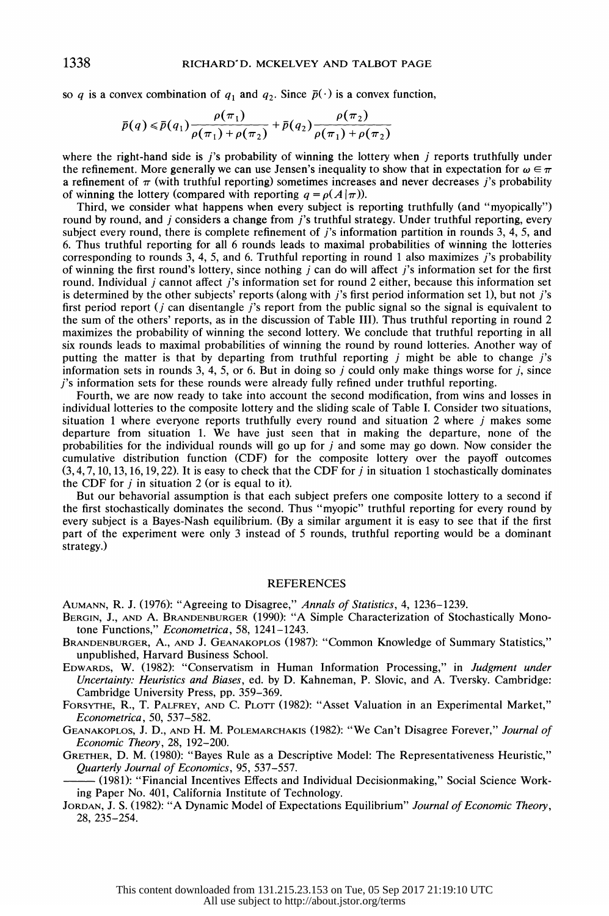so q is a convex combination of  $q_1$  and  $q_2$ . Since  $\bar{p}(\cdot)$  is a convex function,

$$
\bar{p}(q) \leq \bar{p}(q_1) \frac{\rho(\pi_1)}{\rho(\pi_1) + \rho(\pi_2)} + \bar{p}(q_2) \frac{\rho(\pi_2)}{\rho(\pi_1) + \rho(\pi_2)}
$$

where the right-hand side is  $i$ 's probability of winning the lottery when  $i$  reports truthfully under the refinement. More generally we can use Jensen's inequality to show that in expectation for  $\omega \in \pi$ a refinement of  $\pi$  (with truthful reporting) sometimes increases and never decreases j's probability of winning the lottery (compared with reporting  $q = \rho(A|\pi)$ ).

 Third, we consider what happens when every subject is reporting truthfully (and "myopically") round by round, and j considers a change from j's truthful strategy. Under truthful reporting, every subject every round, there is complete refinement of  $i$ 's information partition in rounds 3, 4, 5, and 6. Thus truthful reporting for all 6 rounds leads to maximal probabilities of winning the lotteries corresponding to rounds 3, 4, 5, and 6. Truthful reporting in round 1 also maximizes  $\overrightarrow{j}$ 's probability of winning the first round's lottery, since nothing  $j$  can do will affect  $j$ 's information set for the first round. Individual *j* cannot affect *j*'s information set for round 2 either, because this information set is determined by the other subjects' reports (along with j's first period information set 1), but not j's first period report ( $j$  can disentangle  $j$ 's report from the public signal so the signal is equivalent to the sum of the others' reports, as in the discussion of Table III). Thus truthful reporting in round 2 maximizes the probability of winning the second lottery. We conclude that truthful reporting in all six rounds leads to maximal probabilities of winning the round by round lotteries. Another way of putting the matter is that by departing from truthful reporting  $j$  might be able to change  $j$ 's information sets in rounds 3, 4, 5, or 6. But in doing so  $j$  could only make things worse for  $j$ , since j's information sets for these rounds were already fully refined under truthful reporting.

 Fourth, we are now ready to take into account the second modification, from wins and losses in individual lotteries to the composite lottery and the sliding scale of Table I. Consider two situations, situation 1 where everyone reports truthfully every round and situation 2 where  $j$  makes some departure from situation 1. We have just seen that in making the departure, none of the probabilities for the individual rounds will go up for j and some may go down. Now consider the cumulative distribution function (CDF) for the composite lottery over the payoff outcomes  $(3,4,7, 10, 13, 16, 19, 22)$ . It is easy to check that the CDF for j in situation 1 stochastically dominates the CDF for  $j$  in situation 2 (or is equal to it).

 But our behavorial assumption is that each subject prefers one composite lottery to a second if the first stochastically dominates the second. Thus "myopic" truthful reporting for every round by every subject is a Bayes-Nash equilibrium. (By a similar argument it is easy to see that if the first part of the experiment were only 3 instead of 5 rounds, truthful reporting would be a dominant strategy.)

#### REFERENCES

AUMANN, R. J. (1976): "Agreeing to Disagree," Annals of Statistics, 4, 1236-1239.

- BERGIN, J., AND A. BRANDENBURGER (1990): "A Simple Characterization of Stochastically Mono tone Functions," Econometrica, 58, 1241-1243.
- BRANDENBURGER, A., AND J. GEANAKOPLOS (1987): "Common Knowledge of Summary Statistics," unpublished, Harvard Business School.
- EDWARDS, W. (1982): "Conservatism in Human Information Processing," in Judgment under Uncertainty: Heuristics and Biases, ed. by D. Kahneman, P. Slovic, and A. Tversky. Cambridge: Cambridge University Press, pp. 359-369.
- FORSYTHE, R., T. PALFREY, AND C. PLOrTr (1982): "Asset Valuation in an Experimental Market," Econometrica, 50, 537-582.

GEANAKOPLOS, J. D., AND H. M. POLEMARCHAKIS (1982): "We Can't Disagree Forever," Journal of Economic Theory, 28, 192-200.

 GRETHER, D. M. (1980): "Bayes Rule as a Descriptive Model: The Representativeness Heuristic," Quarterly Journal of Economics, 95, 537-557.

 (1981): "Financial Incentives Effects and Individual Decisionmaking," Social Science Work ing Paper No. 401, California Institute of Technology.

JORDAN, J. S. (1982): "A Dynamic Model of Expectations Equilibrium" Journal of Economic Theory, 28, 235-254.